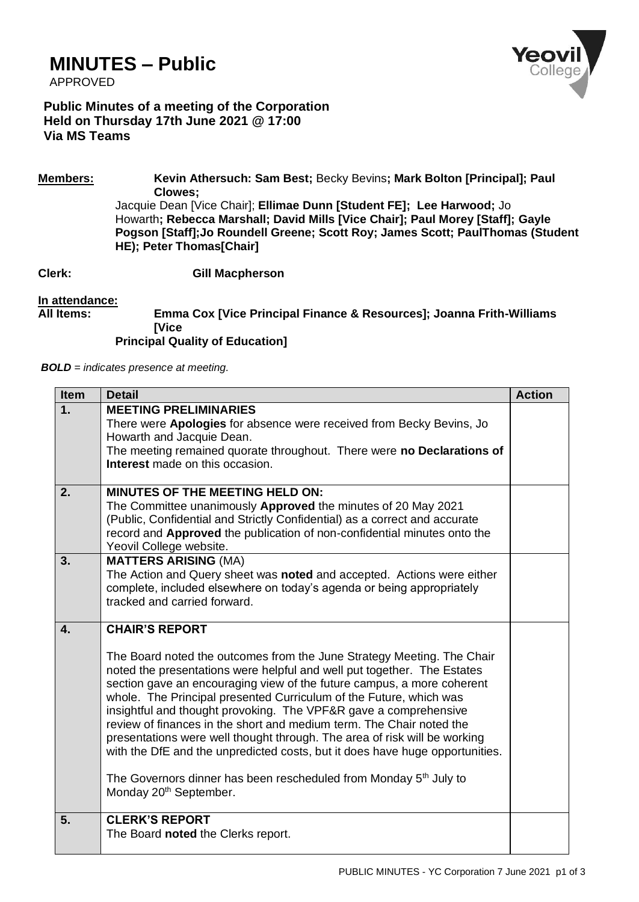## **MINUTES – Public**

APPROVED



**Public Minutes of a meeting of the Corporation Held on Thursday 17th June 2021 @ 17:00 Via MS Teams**

**Members: Kevin Athersuch: Sam Best;** Becky Bevins**; Mark Bolton [Principal]; Paul Clowes;**

Jacquie Dean [Vice Chair]; **Ellimae Dunn [Student FE]; Lee Harwood;** Jo Howarth**; Rebecca Marshall; David Mills [Vice Chair]; Paul Morey [Staff]; Gayle Pogson [Staff];Jo Roundell Greene; Scott Roy; James Scott; PaulThomas (Student HE); Peter Thomas[Chair]**

**Clerk: Gill Macpherson**

## **In attendance:**

## **All Items: Emma Cox [Vice Principal Finance & Resources]; Joanna Frith-Williams [Vice**

**Principal Quality of Education]**

*BOLD = indicates presence at meeting.*

| <b>Item</b>  | <b>Detail</b>                                                                                                                                                                                                                                                                                                                                                                                                                                                                                                                                                                                                                                                                                                                                              | <b>Action</b> |
|--------------|------------------------------------------------------------------------------------------------------------------------------------------------------------------------------------------------------------------------------------------------------------------------------------------------------------------------------------------------------------------------------------------------------------------------------------------------------------------------------------------------------------------------------------------------------------------------------------------------------------------------------------------------------------------------------------------------------------------------------------------------------------|---------------|
| 1.           | <b>MEETING PRELIMINARIES</b><br>There were Apologies for absence were received from Becky Bevins, Jo<br>Howarth and Jacquie Dean.<br>The meeting remained quorate throughout. There were no Declarations of<br>Interest made on this occasion.                                                                                                                                                                                                                                                                                                                                                                                                                                                                                                             |               |
| 2.           | <b>MINUTES OF THE MEETING HELD ON:</b><br>The Committee unanimously Approved the minutes of 20 May 2021<br>(Public, Confidential and Strictly Confidential) as a correct and accurate<br>record and Approved the publication of non-confidential minutes onto the<br>Yeovil College website.                                                                                                                                                                                                                                                                                                                                                                                                                                                               |               |
| 3.           | <b>MATTERS ARISING (MA)</b><br>The Action and Query sheet was noted and accepted. Actions were either<br>complete, included elsewhere on today's agenda or being appropriately<br>tracked and carried forward.                                                                                                                                                                                                                                                                                                                                                                                                                                                                                                                                             |               |
| $\mathbf{4}$ | <b>CHAIR'S REPORT</b><br>The Board noted the outcomes from the June Strategy Meeting. The Chair<br>noted the presentations were helpful and well put together. The Estates<br>section gave an encouraging view of the future campus, a more coherent<br>whole. The Principal presented Curriculum of the Future, which was<br>insightful and thought provoking. The VPF&R gave a comprehensive<br>review of finances in the short and medium term. The Chair noted the<br>presentations were well thought through. The area of risk will be working<br>with the DfE and the unpredicted costs, but it does have huge opportunities.<br>The Governors dinner has been rescheduled from Monday 5 <sup>th</sup> July to<br>Monday 20 <sup>th</sup> September. |               |
| 5.           | <b>CLERK'S REPORT</b><br>The Board noted the Clerks report.                                                                                                                                                                                                                                                                                                                                                                                                                                                                                                                                                                                                                                                                                                |               |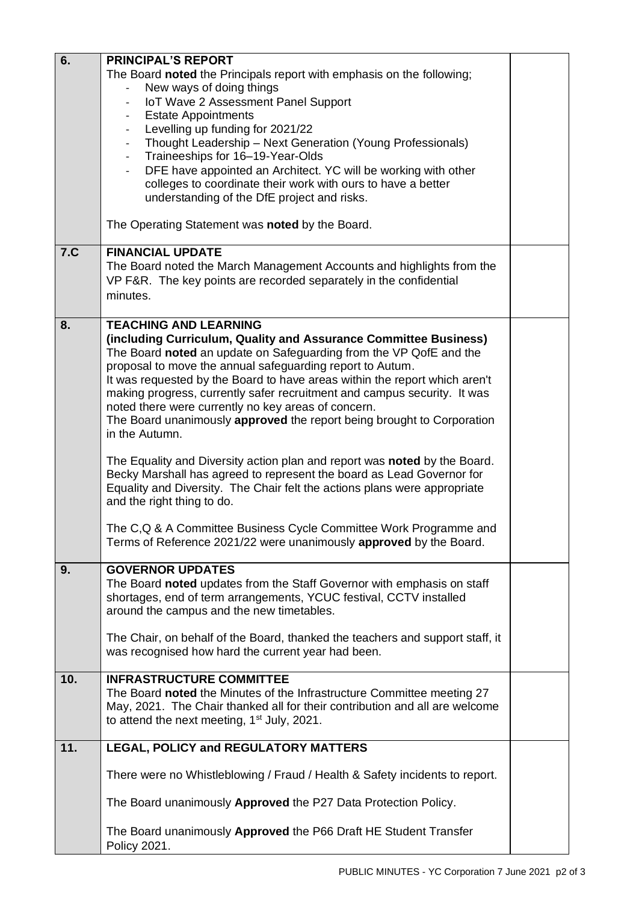| 6.  | <b>PRINCIPAL'S REPORT</b>                                                                               |  |
|-----|---------------------------------------------------------------------------------------------------------|--|
|     | The Board noted the Principals report with emphasis on the following;                                   |  |
|     | New ways of doing things                                                                                |  |
|     | IoT Wave 2 Assessment Panel Support                                                                     |  |
|     | <b>Estate Appointments</b><br>-                                                                         |  |
|     | Levelling up funding for 2021/22<br>-                                                                   |  |
|     | Thought Leadership - Next Generation (Young Professionals)<br>$\overline{\phantom{a}}$                  |  |
|     | Traineeships for 16-19-Year-Olds<br>$\blacksquare$                                                      |  |
|     | DFE have appointed an Architect. YC will be working with other<br>$\overline{\phantom{0}}$              |  |
|     | colleges to coordinate their work with ours to have a better                                            |  |
|     | understanding of the DfE project and risks.                                                             |  |
|     |                                                                                                         |  |
|     | The Operating Statement was noted by the Board.                                                         |  |
| 7.C | <b>FINANCIAL UPDATE</b>                                                                                 |  |
|     | The Board noted the March Management Accounts and highlights from the                                   |  |
|     | VP F&R. The key points are recorded separately in the confidential                                      |  |
|     | minutes.                                                                                                |  |
|     |                                                                                                         |  |
| 8.  | <b>TEACHING AND LEARNING</b>                                                                            |  |
|     | (including Curriculum, Quality and Assurance Committee Business)                                        |  |
|     | The Board noted an update on Safeguarding from the VP QofE and the                                      |  |
|     | proposal to move the annual safeguarding report to Autum.                                               |  |
|     | It was requested by the Board to have areas within the report which aren't                              |  |
|     | making progress, currently safer recruitment and campus security. It was                                |  |
|     | noted there were currently no key areas of concern.                                                     |  |
|     | The Board unanimously approved the report being brought to Corporation                                  |  |
|     | in the Autumn.                                                                                          |  |
|     |                                                                                                         |  |
|     | The Equality and Diversity action plan and report was noted by the Board.                               |  |
|     | Becky Marshall has agreed to represent the board as Lead Governor for                                   |  |
|     | Equality and Diversity. The Chair felt the actions plans were appropriate<br>and the right thing to do. |  |
|     |                                                                                                         |  |
|     | The C,Q & A Committee Business Cycle Committee Work Programme and                                       |  |
|     | Terms of Reference 2021/22 were unanimously approved by the Board.                                      |  |
|     |                                                                                                         |  |
| 9.  | <b>GOVERNOR UPDATES</b>                                                                                 |  |
|     | The Board noted updates from the Staff Governor with emphasis on staff                                  |  |
|     | shortages, end of term arrangements, YCUC festival, CCTV installed                                      |  |
|     | around the campus and the new timetables.                                                               |  |
|     |                                                                                                         |  |
|     | The Chair, on behalf of the Board, thanked the teachers and support staff, it                           |  |
|     | was recognised how hard the current year had been.                                                      |  |
| 10. | <b>INFRASTRUCTURE COMMITTEE</b>                                                                         |  |
|     | The Board noted the Minutes of the Infrastructure Committee meeting 27                                  |  |
|     | May, 2021. The Chair thanked all for their contribution and all are welcome                             |  |
|     | to attend the next meeting, $1st$ July, 2021.                                                           |  |
|     |                                                                                                         |  |
| 11. | LEGAL, POLICY and REGULATORY MATTERS                                                                    |  |
|     | There were no Whistleblowing / Fraud / Health & Safety incidents to report.                             |  |
|     |                                                                                                         |  |
|     | The Board unanimously Approved the P27 Data Protection Policy.                                          |  |
|     |                                                                                                         |  |
|     | The Board unanimously Approved the P66 Draft HE Student Transfer<br>Policy 2021.                        |  |